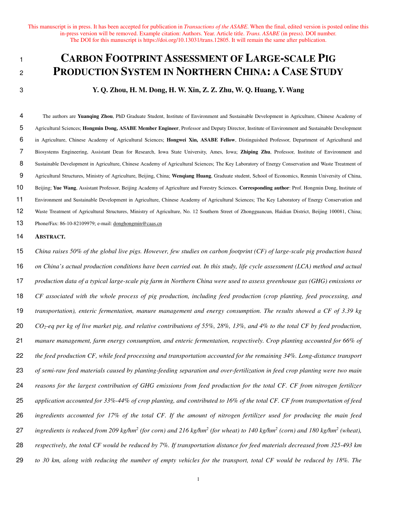# **CARBON FOOTPRINT ASSESSMENT OF LARGE-SCALE PIG PRODUCTION SYSTEM IN NORTHERN CHINA: A CASE STUDY**

# **Y. Q. Zhou, H. M. Dong, H. W. Xin, Z. Z. Zhu, W. Q. Huang, Y. Wang**

The authors are **Yuanqing Zhou**, PhD Graduate Student, Institute of Environment and Sustainable Development in Agriculture, Chinese Academy of Agricultural Sciences; **Hongmin Dong, ASABE Member Engineer**, Professor and Deputy Director, Institute of Environment and Sustainable Development in Agriculture, Chinese Academy of Agricultural Sciences; **Hongwei Xin, ASABE Fellow**, Distinguished Professor, Department of Agricultural and Biosystems Engineering, Assistant Dean for Research, Iowa State University, Ames, Iowa; **Zhiping Zhu**, Professor, Institute of Environment and 8 Sustainable Development in Agriculture, Chinese Academy of Agricultural Sciences; The Key Laboratory of Energy Conservation and Waste Treatment of Agricultural Structures, Ministry of Agriculture, Beijing, China; **Wenqiang Huang**, Graduate student, School of Economics, Renmin University of China, Beijing; **Yue Wang**, Assistant Professor, Beijing Academy of Agriculture and Forestry Sciences. **Corresponding author**: Prof. Hongmin Dong, Institute of Environment and Sustainable Development in Agriculture, Chinese Academy of Agricultural Sciences; The Key Laboratory of Energy Conservation and Waste Treatment of Agricultural Structures, Ministry of Agriculture, No. 12 Southern Street of Zhongguancun, Haidian District, Beijing 100081, China; Phone/Fax: 86-10-82109979; e-mail: donghongmin@caas.cn

### **ABSTRACT.**

*China raises 50% of the global live pigs. However, few studies on carbon footprint (CF) of large-scale pig production based on China's actual production conditions have been carried out. In this study, life cycle assessment (LCA) method and actual production data of a typical large-scale pig farm in Northern China were used to assess greenhouse gas (GHG) emissions or CF associated with the whole process of pig production, including feed production (crop planting, feed processing, and transportation), enteric fermentation, manure management and energy consumption. The results showed a CF of 3.39 kg CO2-eq per kg of live market pig, and relative contributions of 55%, 28%, 13%, and 4% to the total CF by feed production, manure management, farm energy consumption, and enteric fermentation, respectively. Crop planting accounted for 66% of the feed production CF, while feed processing and transportation accounted for the remaining 34%. Long-distance transport of semi-raw feed materials caused by planting-feeding separation and over-fertilization in feed crop planting were two main reasons for the largest contribution of GHG emissions from feed production for the total CF. CF from nitrogen fertilizer application accounted for 33%-44% of crop planting, and contributed to 16% of the total CF. CF from transportation of feed ingredients accounted for 17% of the total CF. If the amount of nitrogen fertilizer used for producing the main feed ingredients is reduced from 209 kg/hm<sup>2</sup> (for corn) and 216 kg/hm<sup>2</sup> (for wheat) to 140 kg/hm<sup>2</sup> (corn) and 180 kg/hm<sup>2</sup> (wheat), respectively, the total CF would be reduced by 7%. If transportation distance for feed materials decreased from 325-493 km to 30 km, along with reducing the number of empty vehicles for the transport, total CF would be reduced by 18%. The*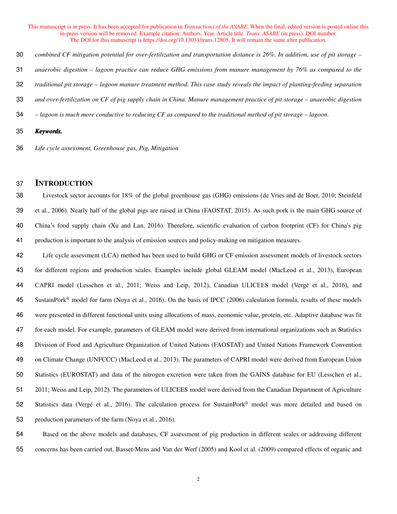- *combined CF mitigation potential for over-fertilization and transportation distance is 26%. In addition, use of pit storage anaerobic digestion – lagoon practice can reduce GHG emissions from manure management by 76% as compared to the traditional pit storage – lagoon manure treatment method. This case study reveals the impact of planting-feeding separation and over-fertilization on CF of pig supply chain in China. Manure management practice of pit storage – anaerobic digestion*
- *lagoon is much more conductive to reducing CF as compared to the traditional method of pit storage lagoon.*

### *Keywords.*

*Life cycle assessment, Greenhouse gas, Pig, Mitigation* 

# **INTRODUCTION**

Livestock sector accounts for 18% of the global greenhouse gas (GHG) emissions (de Vries and de Boer, 2010; Steinfeld et al., 2006). Nearly half of the global pigs are raised in China (FAOSTAT, 2015). As such pork is the main GHG source of China's food supply chain (Xu and Lan, 2016). Therefore, scientific evaluation of carbon footprint (CF) for China's pig production is important to the analysis of emission sources and policy-making on mitigation measures.

Life cycle assessment (LCA) method has been used to build GHG or CF emission assessment models of livestock sectors for different regions and production scales. Examples include global GLEAM model (MacLeod et al., 2013), European CAPRI model (Lesschen et al., 2011; Weiss and Leip, 2012), Canadian ULICEES model (Vergé et al., 2016), and 45 SustainPork<sup>®</sup> model for farm (Noya et al., 2016). On the basis of IPCC (2006) calculation formula, results of these models were presented in different functional units using allocations of mass, economic value, protein, etc. Adaptive database was fit for each model. For example, parameters of GLEAM model were derived from international organizations such as Statistics Division of Food and Agriculture Organization of United Nations (FAOSTAT) and United Nations Framework Convention on Climate Change (UNFCCC) (MacLeod et al., 2013). The parameters of CAPRI model were derived from European Union Statistics (EUROSTAT) and data of the nitrogen excretion were taken from the GAINS database for EU (Lesschen et al., 2011; Weiss and Leip, 2012). The parameters of ULICEES model were derived from the Canadian Department of Agriculture 52 Statistics data (Vergé et al., 2016). The calculation process for SustainPork<sup>®</sup> model was more detailed and based on production parameters of the farm (Noya et al., 2016).

Based on the above models and databases, CF assessment of pig production in different scales or addressing different concerns has been carried out. Basset-Mens and Van der Werf (2005) and Kool et al. (2009) compared effects of organic and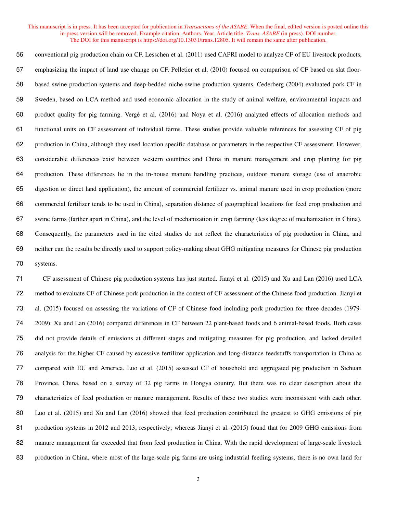conventional pig production chain on CF. Lesschen et al. (2011) used CAPRI model to analyze CF of EU livestock products, emphasizing the impact of land use change on CF. Pelletier et al. (2010) focused on comparison of CF based on slat floor-based swine production systems and deep-bedded niche swine production systems. Cederberg (2004) evaluated pork CF in Sweden, based on LCA method and used economic allocation in the study of animal welfare, environmental impacts and product quality for pig farming. Vergé et al. (2016) and Noya et al. (2016) analyzed effects of allocation methods and functional units on CF assessment of individual farms. These studies provide valuable references for assessing CF of pig production in China, although they used location specific database or parameters in the respective CF assessment. However, considerable differences exist between western countries and China in manure management and crop planting for pig production. These differences lie in the in-house manure handling practices, outdoor manure storage (use of anaerobic digestion or direct land application), the amount of commercial fertilizer vs. animal manure used in crop production (more commercial fertilizer tends to be used in China), separation distance of geographical locations for feed crop production and swine farms (farther apart in China), and the level of mechanization in crop farming (less degree of mechanization in China). Consequently, the parameters used in the cited studies do not reflect the characteristics of pig production in China, and neither can the results be directly used to support policy-making about GHG mitigating measures for Chinese pig production systems.

CF assessment of Chinese pig production systems has just started. Jianyi et al. (2015) and Xu and Lan (2016) used LCA method to evaluate CF of Chinese pork production in the context of CF assessment of the Chinese food production. Jianyi et al. (2015) focused on assessing the variations of CF of Chinese food including pork production for three decades (1979- 2009). Xu and Lan (2016) compared differences in CF between 22 plant-based foods and 6 animal-based foods. Both cases did not provide details of emissions at different stages and mitigating measures for pig production, and lacked detailed analysis for the higher CF caused by excessive fertilizer application and long-distance feedstuffs transportation in China as compared with EU and America. Luo et al. (2015) assessed CF of household and aggregated pig production in Sichuan Province, China, based on a survey of 32 pig farms in Hongya country. But there was no clear description about the characteristics of feed production or manure management. Results of these two studies were inconsistent with each other. Luo et al. (2015) and Xu and Lan (2016) showed that feed production contributed the greatest to GHG emissions of pig production systems in 2012 and 2013, respectively; whereas Jianyi et al. (2015) found that for 2009 GHG emissions from 82 manure management far exceeded that from feed production in China. With the rapid development of large-scale livestock production in China, where most of the large-scale pig farms are using industrial feeding systems, there is no own land for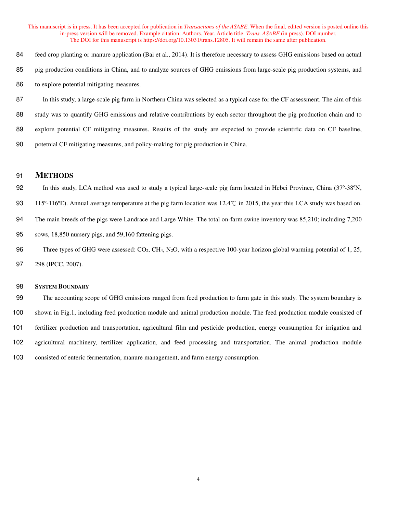feed crop planting or manure application (Bai et al., 2014). It is therefore necessary to assess GHG emissions based on actual pig production conditions in China, and to analyze sources of GHG emissions from large-scale pig production systems, and 86 to explore potential mitigating measures.

In this study, a large-scale pig farm in Northern China was selected as a typical case for the CF assessment. The aim of this study was to quantify GHG emissions and relative contributions by each sector throughout the pig production chain and to explore potential CF mitigating measures. Results of the study are expected to provide scientific data on CF baseline, potetnial CF mitigating measures, and policy-making for pig production in China.

# **METHODS**

In this study, LCA method was used to study a typical large-scale pig farm located in Hebei Province, China (37º-38ºN, 93 115°-116°E). Annual average temperature at the pig farm location was 12.4℃ in 2015, the year this LCA study was based on. The main breeds of the pigs were Landrace and Large White. The total on-farm swine inventory was 85,210; including 7,200 sows, 18,850 nursery pigs, and 59,160 fattening pigs.

96 Three types of GHG were assessed: CO<sub>2</sub>, CH<sub>4</sub>, N<sub>2</sub>O, with a respective 100-year horizon global warming potential of 1, 25, 298 (IPCC, 2007).

# **SYSTEM BOUNDARY**

The accounting scope of GHG emissions ranged from feed production to farm gate in this study. The system boundary is shown in Fig.1, including feed production module and animal production module. The feed production module consisted of fertilizer production and transportation, agricultural film and pesticide production, energy consumption for irrigation and agricultural machinery, fertilizer application, and feed processing and transportation. The animal production module consisted of enteric fermentation, manure management, and farm energy consumption.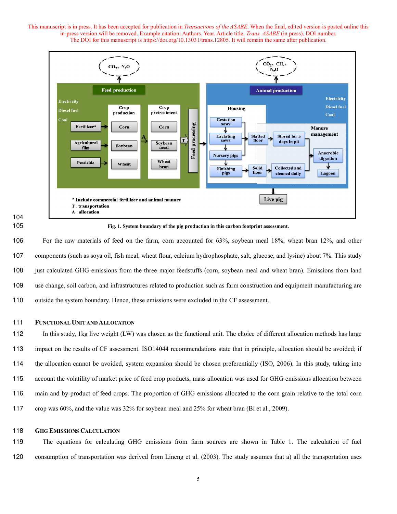



Fig. 1. System boundary of the pig production in this carbon footprint assessment.

For the raw materials of feed on the farm, corn accounted for 63%, soybean meal 18%, wheat bran 12%, and other components (such as soya oil, fish meal, wheat flour, calcium hydrophosphate, salt, glucose, and lysine) about 7%. This study just calculated GHG emissions from the three major feedstuffs (corn, soybean meal and wheat bran). Emissions from land use change, soil carbon, and infrastructures related to production such as farm construction and equipment manufacturing are outside the system boundary. Hence, these emissions were excluded in the CF assessment.

### **FUNCTIONAL UNIT AND ALLOCATION**

In this study, 1kg live weight (LW) was chosen as the functional unit. The choice of different allocation methods has large impact on the results of CF assessment. ISO14044 recommendations state that in principle, allocation should be avoided; if the allocation cannot be avoided, system expansion should be chosen preferentially (ISO, 2006). In this study, taking into account the volatility of market price of feed crop products, mass allocation was used for GHG emissions allocation between main and by-product of feed crops. The proportion of GHG emissions allocated to the corn grain relative to the total corn crop was 60%, and the value was 32% for soybean meal and 25% for wheat bran (Bi et al., 2009).

### **GHG EMISSIONS CALCULATION**

The equations for calculating GHG emissions from farm sources are shown in Table 1. The calculation of fuel consumption of transportation was derived from Lineng et al. (2003). The study assumes that a) all the transportation uses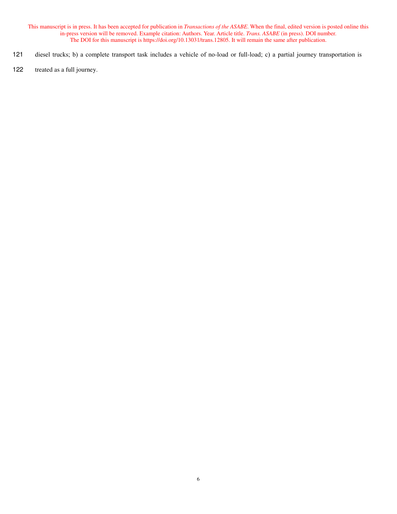- 121 diesel trucks; b) a complete transport task includes a vehicle of no-load or full-load; c) a partial journey transportation is
- 122 treated as a full journey.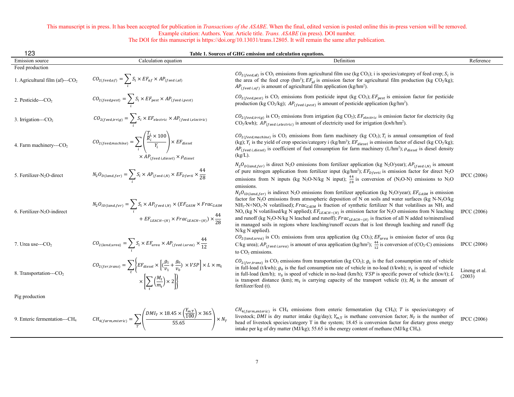| 123                                                   |                                                                                                                                                                                                                                       | Table 1. Sources of GHG emission and calculation equations.                                                                                                                                                                                                                                                                                                                                                                                                                                                                                                                                                                                                                                                                                                                                                               |                         |
|-------------------------------------------------------|---------------------------------------------------------------------------------------------------------------------------------------------------------------------------------------------------------------------------------------|---------------------------------------------------------------------------------------------------------------------------------------------------------------------------------------------------------------------------------------------------------------------------------------------------------------------------------------------------------------------------------------------------------------------------------------------------------------------------------------------------------------------------------------------------------------------------------------------------------------------------------------------------------------------------------------------------------------------------------------------------------------------------------------------------------------------------|-------------------------|
| Emission source                                       | Calculation equation                                                                                                                                                                                                                  | Definition                                                                                                                                                                                                                                                                                                                                                                                                                                                                                                                                                                                                                                                                                                                                                                                                                | Reference               |
| Feed production<br>1. Agricultural film (af)--- $CO2$ | $CO_{2(feed, af)} = \sum S_i \times EF_{af} \times AP_{(feed \ i, af)}$                                                                                                                                                               | $CO_{2(feed, af)}$ is CO <sub>2</sub> emissions from agricultural film use (kg CO <sub>2</sub> ); i is species/category of feed crop; S <sub>i</sub> is<br>the area of the feed crop (hm <sup>2</sup> ); $EF_{af}$ is emission factor for agricultural film production (kg CO <sub>2</sub> /kg);<br>$AP_{(feed \, i, af)}$ is amount of agricultural film application (kg/hm <sup>2</sup> ).                                                                                                                                                                                                                                                                                                                                                                                                                              |                         |
| 2. Pesticide--- $CO2$                                 | $CO_{2(feed, pest)} = \sum_{i} S_i \times EF_{pest} \times AP_{(feed\ i, pest)}$                                                                                                                                                      | $CO_{2(feed, pest)}$ is $CO_2$ emissions from pesticide input (kg CO <sub>2</sub> ); $EF_{pest}$ is emission factor for pesticide<br>production (kg CO <sub>2</sub> /kg); $AP_{(\text{feed} i, \text{pest})}$ is amount of pesticide application (kg/hm <sup>2</sup> ).                                                                                                                                                                                                                                                                                                                                                                                                                                                                                                                                                   |                         |
| 3. Irrigation--- $CO2$                                | $\mathcal{CO}_{2 (feed,irrig)} = \sum S_i \times EF_{electric} \times AP_{(feed \ i, electric)}$                                                                                                                                      | $CO_{2(feed, irriq)}$ is $CO_2$ emissions from irrigation (kg $CO_2$ ); $EF_{electric}$ is emission factor for electricity (kg<br>CO <sub>2</sub> /kwh); $AP_{(feed\, i, electric)}$ is amount of electricity used for irrigation (kwh/hm <sup>2</sup> ).                                                                                                                                                                                                                                                                                                                                                                                                                                                                                                                                                                 |                         |
| 4. Farm machinery--- $CO2$                            | $\label{eq:col} CO_{2(feed, machine)} = \sum_i \left(\frac{\frac{T_i}{R_i} \times 100}{Y_i}\right) \times EF_{diesel}$<br>$\times AP_{(feed \; i,diesel)} \times \rho_{diesel}$                                                       | $CO_{2(feed, machine)}$ is $CO_2$ emissions from farm machinery (kg $CO_2$ ); $T_i$ is annual consumption of feed<br>(kg); $Y_i$ is the yield of crop species/category i (kg/hm <sup>2</sup> ); $EF_{diesel}$ is emission factor of diesel (kg CO <sub>2</sub> /kg);<br>$AP_{(feed\ i, diesel)}$ is coefficient of fuel consumption for farm machinery (L/hm <sup>2</sup> ); $\rho_{diesel}$ is diesel density<br>$(kg/L)$ .                                                                                                                                                                                                                                                                                                                                                                                              |                         |
| 5. Fertilizer- $N_2O$ -direct                         | $N_2O_{D(land,fer)} = \sum_{i} S_i \times AP_{(feed \ i,N)} \times EF_{Dferti} \times \frac{44}{28}$                                                                                                                                  | $N_2O_{D(land,fer)}$ is direct N <sub>2</sub> O emissions from fertilizer application (kg N <sub>2</sub> O/year); $AP_{(feed, N)}$ is amount<br>of pure nitrogen application from fertilizer input (kg/hm <sup>2</sup> ); $EF_{Dferti}$ is emission factor for direct N <sub>2</sub> O<br>emissions from N inputs (kg N <sub>2</sub> O-N/kg N input); $\frac{44}{29}$ is conversion of (N <sub>2</sub> O-N) emissions to N <sub>2</sub> O                                                                                                                                                                                                                                                                                                                                                                                 | <b>IPCC</b> (2006)      |
| 6. Fertilizer- $N_2O$ -indirect                       | $N_2O_{ID (land, fer)} = \sum_i S_i \times AP_{(feed \ i, N)} \times (EF_{GASM} \times Frac_{GASM})$<br>+ $EF_{LEACH-(H)} \times Frac_{LEACH-(H)}) \times \frac{44}{28}$                                                              | emissions.<br>$N_2O_{ID(land,fer)}$ is indirect N <sub>2</sub> O emissions from fertilizer application (kg N <sub>2</sub> O/year); $EF_{GASM}$ is emission<br>factor for N <sub>2</sub> O emissions from atmospheric deposition of N on soils and water surfaces (kg N-N <sub>2</sub> O/kg<br>$NH_3-N+NO_x-N$ volatilised); Frac <sub>GASM</sub> is fraction of synthetic fertilizer N that volatilises as NH <sub>3</sub> and<br>$NO_x$ (kg N volatilised/kg N applied); $E_{LEACH - (H)}$ is emission factor for N <sub>2</sub> O emissions from N leaching<br>and runoff (kg N <sub>2</sub> O-N/kg N leached and runoff); $FraC_{LEACH-(H)}$ is fraction of all N added to/mineralised<br>in managed soils in regions where leaching/runoff occurs that is lost through leaching and runoff (kg)<br>$N/kg$ N applied). | <b>IPCC</b> (2006)      |
| 7. Urea use- $-CO2$                                   | $\mathit{CO}_{2(land,urea)} = \sum_{i} S_i \times \mathit{EF}_{urea} \times \mathit{AP}_{(\mathit{feed \,i,urea})} \times \frac{44}{12}$                                                                                              | $CO_{2(land,urea)}$ is CO <sub>2</sub> emissions from urea application (kg CO <sub>2</sub> ); $EF_{urea}$ is emission factor of urea (kg<br>C/kg urea); $AP_{(feed\ i, urea)}$ is amount of urea application (kg/hm <sup>2</sup> ); $\frac{44}{12}$ is conversion of (CO <sub>2</sub> -C) emissions<br>to $CO2$ emissions.                                                                                                                                                                                                                                                                                                                                                                                                                                                                                                | <b>IPCC</b> (2006)      |
| 8. Transportation---CO <sub>2</sub>                   | $CO_{2(fer, trans)} = \sum \left\{ EF_{diesel} \times \left[ \left( \frac{g_1}{v_1} + \frac{g_0}{v_0} \right) \times VSP \right] \times L \times m_t \right.$<br>$\times \left  \sum \left( \frac{M_t}{m_t} \right) \times 2 \right $ | $CO_{2(fert, trans)}$ is CO <sub>2</sub> emissions from transportation (kg CO <sub>2</sub> ); $g_1$ is the fuel consumption rate of vehicle<br>in full-load (t/kwh); $g_0$ is the fuel consumption rate of vehicle in no-load (t/kwh); $v_1$ is speed of vehicle<br>in full-load (km/h); $v_0$ is speed of vehicle in no-load (km/h); <i>VSP</i> is specific power of vehicle (kw/t); <i>L</i><br>is transport distance (km); $m_t$ is carrying capacity of the transport vehicle (t); $M_t$ is the amount of<br>fertilizer/feed (t).                                                                                                                                                                                                                                                                                     | Lineng et al.<br>(2003) |
| Pig production                                        |                                                                                                                                                                                                                                       |                                                                                                                                                                                                                                                                                                                                                                                                                                                                                                                                                                                                                                                                                                                                                                                                                           |                         |
| 9. Enteric fermentation---CH <sub>4</sub>             | $\mathit{CH}_{4(\mathit{farm,enteric})} = \sum_{T} \left(\frac{\mathit{DMI}_T \times 18.45 \times \left(\frac{Y_{m,T}}{100}\right) \times 365}{55.65}\right) \times N_T$                                                              | $CH_{4(farm,enteric)}$ is CH <sub>4</sub> emissions from enteric fermentation (kg CH <sub>4</sub> ); T is species/category of<br>livestock; DMI is dry matter intake (kg/day); $Y_{m,T}$ is methane conversion factor; $N_T$ is the number of<br>head of livestock species/category T in the system; 18.45 is conversion factor for dietary gross energy<br>intake per kg of dry matter (MJ/kg); 55.65 is the energy content of methane (MJ/kg CH <sub>4</sub> ).                                                                                                                                                                                                                                                                                                                                                         | <b>IPCC</b> (2006)      |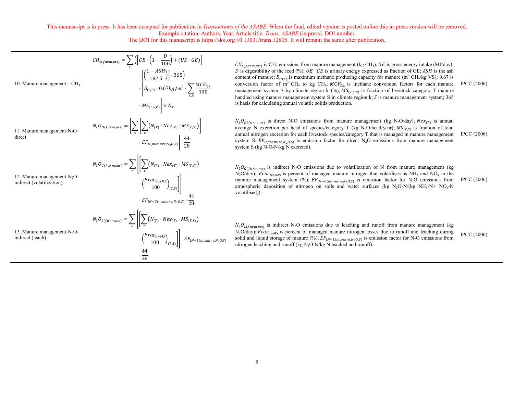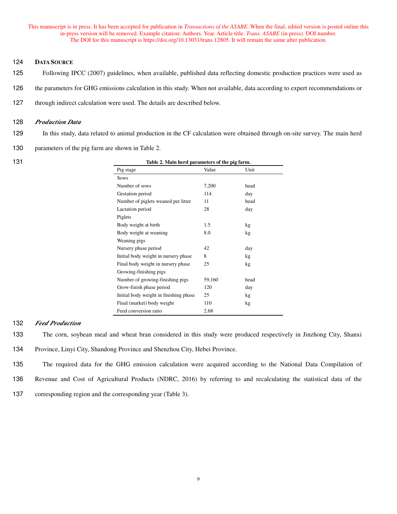- 124 **DATA SOURCE**
- 125 Following IPCC (2007) guidelines, when available, published data reflecting domestic production practices were used as
- 126 the parameters for GHG emissions calculation in this study. When not available, data according to expert recommendations or
- 127 through indirect calculation were used. The details are described below.

### 128 *Production Data*

129 In this study, data related to animal production in the CF calculation were obtained through on-site survey. The main herd

- 130 parameters of the pig farm are shown in Table 2.
- 

| 131 | Table 2. Main herd parameters of the pig farm. |        |      |
|-----|------------------------------------------------|--------|------|
|     | Pig stage                                      | Value  | Unit |
|     | Sows                                           |        |      |
|     | Number of sows                                 | 7,200  | head |
|     | Gestation period                               | 114    | day  |
|     | Number of piglets weaned per litter            | 11     | head |
|     | Lactation period                               | 28     | day  |
|     | Piglets                                        |        |      |
|     | Body weight at birth                           | 1.5    | kg   |
|     | Body weight at weaning                         | 8.0    | kg   |
|     | Weaning pigs                                   |        |      |
|     | Nursery phase period                           | 42     | day  |
|     | Initial body weight in nursery phase           | 8      | kg   |
|     | Final body weight in nursery phase             | 25     | kg   |
|     | Growing-finishing pigs                         |        |      |
|     | Number of growing-finishing pigs               | 59,160 | head |
|     | Grow-finish phase period                       | 120    | day  |
|     | Initial body weight in finishing phase         | 25     | kg   |
|     | Final (market) body weight                     | 110    | kg   |
|     | Feed conversion ratio                          | 2.68   |      |
|     |                                                |        |      |

### 132 *Feed Production*

133 The corn, soybean meal and wheat bran considered in this study were produced respectively in Jinzhong City, Shanxi

134 Province, Linyi City, Shandong Province and Shenzhou City, Hebei Province.

135 The required data for the GHG emission calculation were acquired according to the National Data Compilation of

- 136 Revenue and Cost of Agricultural Products (NDRC, 2016) by referring to and recalculating the statistical data of the
- 137 corresponding region and the corresponding year (Table 3).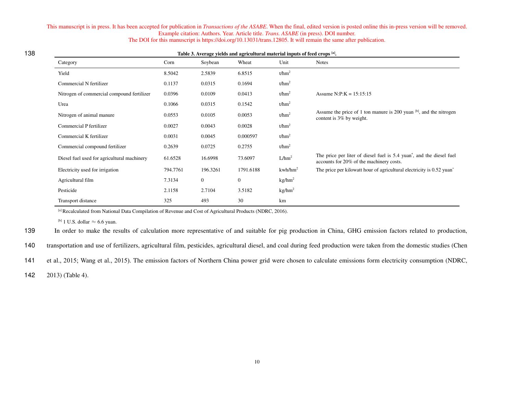| 138 | Table 3. Average yields and agricultural material inputs of feed crops [a]. |          |                |              |                     |                                                                                                                               |
|-----|-----------------------------------------------------------------------------|----------|----------------|--------------|---------------------|-------------------------------------------------------------------------------------------------------------------------------|
|     | Category                                                                    | Corn     | Soybean        | Wheat        | Unit                | <b>Notes</b>                                                                                                                  |
|     | Yield                                                                       | 8.5042   | 2.5839         | 6.8515       | t/hm <sup>2</sup>   |                                                                                                                               |
|     | Commercial N fertilizer                                                     | 0.1137   | 0.0315         | 0.1694       | t/hm <sup>2</sup>   |                                                                                                                               |
|     | Nitrogen of commercial compound fertilizer                                  | 0.0396   | 0.0109         | 0.0413       | t/hm <sup>2</sup>   | Assume N:P:K = $15:15:15$                                                                                                     |
|     | Urea                                                                        | 0.1066   | 0.0315         | 0.1542       | t/hm <sup>2</sup>   |                                                                                                                               |
|     | Nitrogen of animal manure                                                   | 0.0553   | 0.0105         | 0.0053       | t/hm <sup>2</sup>   | Assume the price of 1 ton manure is 200 yuan [b], and the nitrogen<br>content is 3% by weight.                                |
|     | Commercial P fertilizer                                                     | 0.0027   | 0.0043         | 0.0028       | t/hm <sup>2</sup>   |                                                                                                                               |
|     | Commercial K fertilizer                                                     | 0.0031   | 0.0045         | 0.000597     | t/hm <sup>2</sup>   |                                                                                                                               |
|     | Commercial compound fertilizer                                              | 0.2639   | 0.0725         | 0.2755       | t/hm <sup>2</sup>   |                                                                                                                               |
|     | Diesel fuel used for agricultural machinery                                 | 61.6528  | 16.6998        | 73.6097      | L/hm <sup>2</sup>   | The price per liter of diesel fuel is 5.4 yuan <sup>*</sup> , and the diesel fuel<br>accounts for 20% of the machinery costs. |
|     | Electricity used for irrigation                                             | 794.7761 | 196.3261       | 1791.6188    | kwh/hm <sup>2</sup> | The price per kilowatt hour of agricultural electricity is 0.52 yuan <sup>*</sup>                                             |
|     | Agricultural film                                                           | 7.3134   | $\overline{0}$ | $\mathbf{0}$ | kg/hm <sup>2</sup>  |                                                                                                                               |
|     | Pesticide                                                                   | 2.1158   | 2.7104         | 3.5182       | kg/hm <sup>2</sup>  |                                                                                                                               |
|     | Transport distance                                                          | 325      | 493            | 30           | km                  |                                                                                                                               |

[a] Recalculated from National Data Compilation of Revenue and Cost of Agricultural Products (NDRC, 2016).

<sup>[b]</sup> 1 U.S. dollar  $\approx$  6.6 yuan.

139 In order to make the results of calculation more representative of and suitable for pig production in China, GHG emission factors related to production,

140 transportation and use of fertilizers, agricultural film, pesticides, agricultural diesel, and coal during feed production were taken from the domestic studies (Chen

141 et al., 2015; Wang et al., 2015). The emission factors of Northern China power grid were chosen to calculate emissions form electricity consumption (NDRC,

142 2013) (Table 4).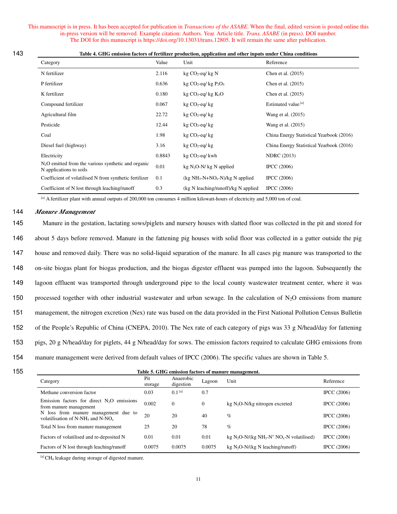| Category                                                                        | Value  | Unit                                   | Reference                                |
|---------------------------------------------------------------------------------|--------|----------------------------------------|------------------------------------------|
| N fertilizer                                                                    | 2.116  | $kg CO2-eq/kg N$                       | Chen et al. $(2015)$                     |
| P fertilizer                                                                    | 0.636  | kg $CO_2$ -eq/kg $P_2O_5$              | Chen et al. $(2015)$                     |
| K fertilizer                                                                    | 0.180  | $kg CO_2$ -eq/ $kg K_2O$               | Chen et al. $(2015)$                     |
| Compound fertilizer                                                             | 0.067  | $kg CO2-eq/kg$                         | Estimated value <sup>[a]</sup>           |
| Agricultural film                                                               | 22.72  | $kg CO2-eq/kg$                         | Wang et al. (2015)                       |
| Pesticide                                                                       | 12.44  | $kg CO2-eq/kg$                         | Wang et al. (2015)                       |
| Coal                                                                            | 1.98   | $kg CO2-eq/kg$                         | China Energy Statistical Yearbook (2016) |
| Diesel fuel (highway)                                                           | 3.16   | $kg CO2-eq/kg$                         | China Energy Statistical Yearbook (2016) |
| Electricity                                                                     | 0.8843 | $kg CO2-eq/kwh$                        | <b>NDRC</b> (2013)                       |
| $N2O$ emitted from the various synthetic and organic<br>N applications to soils | 0.01   | kg $N_2O-N$ / kg N applied             | <b>IPCC</b> (2006)                       |
| Coefficient of volatilised N from synthetic fertilizer                          | 0.1    | $(kg NH3-N+NOx-N)/kg N$ applied        | <b>IPCC</b> (2006)                       |
| Coefficient of N lost through leaching/runoff                                   | 0.3    | $\log N$ leaching/runoff)/kg N applied | <b>IPCC</b> (2006)                       |

143 **Table 4. GHG emission factors of fertilizer production, application and other inputs under China conditions** 

[a] A fertilizer plant with annual outputs of 200,000 ton consumes 4 million kilowatt-hours of electricity and 5,000 ton of coal.

### 144 *Manure Management*

145 Manure in the gestation, lactating sows/piglets and nursery houses with slatted floor was collected in the pit and stored for about 5 days before removed. Manure in the fattening pig houses with solid floor was collected in a gutter outside the pig house and removed daily. There was no solid-liquid separation of the manure. In all cases pig manure was transported to the on-site biogas plant for biogas production, and the biogas digester effluent was pumped into the lagoon. Subsequently the lagoon effluent was transported through underground pipe to the local county wastewater treatment center, where it was 150 processed together with other industrial wastewater and urban sewage. In the calculation of  $N_2O$  emissions from manure management, the nitrogen excretion (Nex) rate was based on the data provided in the First National Pollution Census Bulletin of the People's Republic of China (CNEPA, 2010). The Nex rate of each category of pigs was 33 g N/head/day for fattening pigs, 20 g N/head/day for piglets, 44 g N/head/day for sows. The emission factors required to calculate GHG emissions from manure management were derived from default values of IPCC (2006). The specific values are shown in Table 5.

| 155 | Table 5. GHG emission factors of manure management. |
|-----|-----------------------------------------------------|
|     |                                                     |

| Category                                                                        | Pit<br>storage | Anaerobic<br>digestion | Lagoon   | Unit                                                                                      | Reference          |
|---------------------------------------------------------------------------------|----------------|------------------------|----------|-------------------------------------------------------------------------------------------|--------------------|
| Methane conversion factor                                                       | 0.03           | $0.1^{[a]}$            | 0.7      |                                                                                           | <b>IPCC</b> (2006) |
| Emission factors for direct $N_2O$ emissions<br>from manure management          | 0.002          | $\mathbf{0}$           | $\theta$ | kg $N_2O-N/kg$ nitrogen excreted                                                          | <b>IPCC</b> (2006) |
| N loss from manure management due to<br>volatilisation of $N-NH_3$ and $N-NO_x$ | 20             | 20                     | 40       | $\%$                                                                                      | <b>IPCC</b> (2006) |
| Total N loss from manure management                                             | 25             | 20                     | 78       | $\%$                                                                                      | <b>IPCC</b> (2006) |
| Factors of volatilised and re-deposited N                                       | 0.01           | 0.01                   | 0.01     | kg N <sub>2</sub> O-N/(kg NH <sub>3</sub> -N <sup>+</sup> NO <sub>x</sub> -N volatilised) | <b>IPCC</b> (2006) |
| Factors of N lost through leaching/runoff                                       | 0.0075         | 0.0075                 | 0.0075   | kg N <sub>2</sub> O-N/(kg N leaching/runoff)                                              | <b>IPCC</b> (2006) |

[a] CH<sub>4</sub> leakage during storage of digested manure.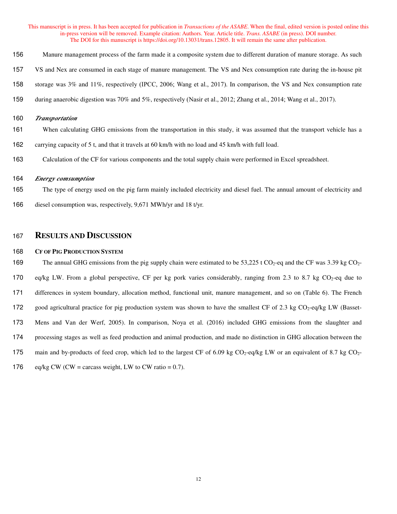- 156 Manure management process of the farm made it a composite system due to different duration of manure storage. As such
- VS and Nex are consumed in each stage of manure management. The VS and Nex consumption rate during the in-house pit
- storage was 3% and 11%, respectively (IPCC, 2006; Wang et al., 2017). In comparison, the VS and Nex consumption rate
- during anaerobic digestion was 70% and 5%, respectively (Nasir et al., 2012; Zhang et al., 2014; Wang et al., 2017).
- *Transportation*
- When calculating GHG emissions from the transportation in this study, it was assumed that the transport vehicle has a
- carrying capacity of 5 t, and that it travels at 60 km/h with no load and 45 km/h with full load.
- Calculation of the CF for various components and the total supply chain were performed in Excel spreadsheet.

#### *Energy comsumption*

- The type of energy used on the pig farm mainly included electricity and diesel fuel. The annual amount of electricity and
- diesel consumption was, respectively, 9,671 MWh/yr and 18 t/yr.

# **RESULTS AND DISCUSSION**

### **CF OF PIG PRODUCTION SYSTEM**

169 The annual GHG emissions from the pig supply chain were estimated to be  $53,225$  t CO<sub>2</sub>-eq and the CF was  $3.39$  kg CO<sub>2</sub>-170 eq/kg LW. From a global perspective, CF per kg pork varies considerably, ranging from 2.3 to 8.7 kg CO<sub>2</sub>-eq due to differences in system boundary, allocation method, functional unit, manure management, and so on (Table 6). The French 172 good agricultural practice for pig production system was shown to have the smallest CF of 2.3 kg CO<sub>2</sub>-eq/kg LW (Basset-Mens and Van der Werf, 2005). In comparison, Noya et al. (2016) included GHG emissions from the slaughter and processing stages as well as feed production and animal production, and made no distinction in GHG allocation between the 175 main and by-products of feed crop, which led to the largest CF of 6.09 kg  $CO_2$ -eq/kg LW or an equivalent of 8.7 kg  $CO_2$ -176 eq/kg CW (CW = carcass weight, LW to CW ratio =  $0.7$ ).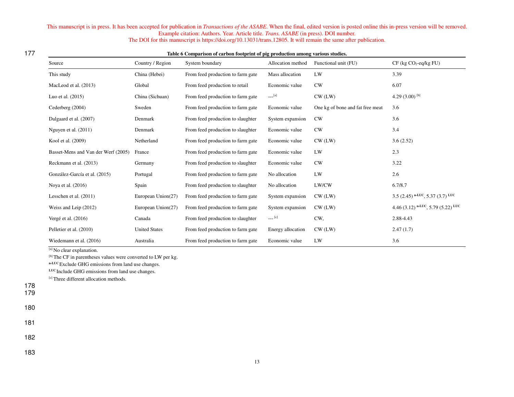### 177 **Table 6 Comparison of carbon footprint of pig production among various studies.**

| Source                              | Country / Region     | System boundary                   | Allocation method | Functional unit (FU)             | $CF$ (kg $CO_2$ -eq/kg $FU$ )      |
|-------------------------------------|----------------------|-----------------------------------|-------------------|----------------------------------|------------------------------------|
| This study                          | China (Hebei)        | From feed production to farm gate | Mass allocation   | LW                               | 3.39                               |
| MacLeod et al. (2013)               | Global               | From feed production to retail    | Economic value    | <b>CW</b>                        | 6.07                               |
| Luo et al. $(2015)$                 | China (Sichuan)      | From feed production to farm gate | $\frac{1}{2}$ [a] | CW(LW)                           | 4.29 $(3.00)$ <sup>[b]</sup>       |
| Cederberg (2004)                    | Sweden               | From feed production to farm gate | Economic value    | One kg of bone and fat free meat | 3.6                                |
| Dalgaard et al. (2007)              | Denmark              | From feed production to slaughter | System expansion  | <b>CW</b>                        | 3.6                                |
| Nguyen et al. $(2011)$              | Denmark              | From feed production to slaughter | Economic value    | <b>CW</b>                        | 3.4                                |
| Kool et al. (2009)                  | Netherland           | From feed production to farm gate | Economic value    | CW(LW)                           | 3.6(2.52)                          |
| Basset-Mens and Van der Werf (2005) | France               | From feed production to farm gate | Economic value    | LW                               | 2.3                                |
| Reckmann et al. (2013)              | Germany              | From feed production to slaughter | Economic value    | <b>CW</b>                        | 3.22                               |
| González-García et al. (2015)       | Portugal             | From feed production to farm gate | No allocation     | LW                               | 2.6                                |
| Nova et al. $(2016)$                | Spain                | From feed production to slaughter | No allocation     | LW/CW                            | 6.7/8.7                            |
| Lesschen et al. (2011)              | European Union(27)   | From feed production to farm gate | System expansion  | CW(LW)                           | 3.5 (2.45) n-LUC, 5.37 (3.7) LUC   |
| Weiss and Leip $(2012)$             | European Union(27)   | From feed production to farm gate | System expansion  | CW(LW)                           | 4.46 (3.12) n-LUC, 5.79 (5.22) LUC |
| Vergé et al. $(2016)$               | Canada               | From feed production to slaughter | $--- [c]$         | CW,                              | 2.88-4.43                          |
| Pelletier et al. (2010)             | <b>United States</b> | From feed production to farm gate | Energy allocation | CW(LW)                           | 2.47(1.7)                          |
| Wiedemann et al. (2016)             | Australia            | From feed production to farm gate | Economic value    | LW                               | 3.6                                |

<sup>[a]</sup> No clear explanation.

[b] The CF in parentheses values were converted to LW per kg.

**n-LUC** Exclude GHG emissions from land use changes.

**LUC** Include GHG emissions from land use changes.

[c] Three different allocation methods.

- 180
- 181
- 
- 182

183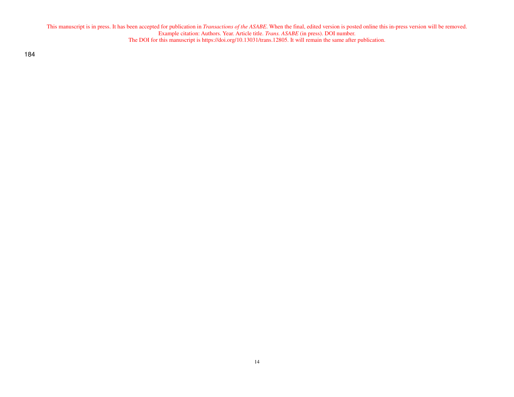184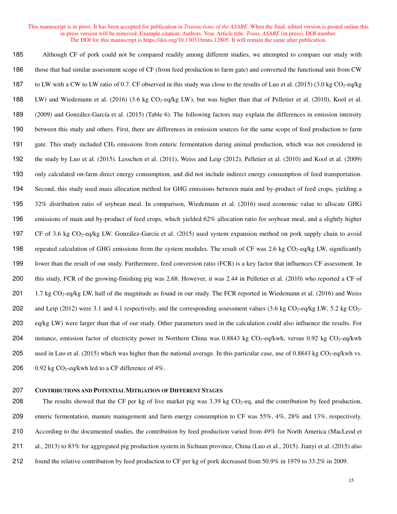185 Although CF of pork could not be compared readily among different studies, we attempted to compare our study with those that had similar assessment scope of CF (from feed production to farm gate) and converted the functional unit from CW 187 to LW with a CW to LW ratio of 0.7. CF observed in this study was close to the results of Luo et al. (2015) (3.0 kg CO<sub>2</sub>-eq/kg 188 LW) and Wiedemann et al. (2016) (3.6 kg CO<sub>2</sub>-eq/kg LW), but was higher than that of Pelletier et al. (2010), Kool et al. (2009) and González-García et al. (2015) (Table 6). The following factors may explain the differences in emission intensity between this study and others. First, there are differences in emission sources for the same scope of feed production to farm gate. This study included CH4 emissions from enteric fermentation during animal production, which was not considered in the study by Luo et al. (2015). Lesschen et al. (2011), Weiss and Leip (2012), Pelletier et al. (2010) and Kool et al. (2009) only calculated on-farm direct energy consumption, and did not include indirect energy consumption of feed transportation. Second, this study used mass allocation method for GHG emissions between main and by-product of feed crops, yielding a 32% distribution ratio of soybean meal. In comparison, Wiedemann et al. (2016) used economic value to allocate GHG emissions of main and by-product of feed crops, which yielded 62% allocation ratio for soybean meal, and a slightly higher CF of 3.6 kg CO2-eq/kg LW. González-García et al. (2015) used system expansion method on pork supply chain to avoid repeated calculation of GHG emissions from the system modules. The result of CF was 2.6 kg CO2-eq/kg LW, significantly lower than the result of our study. Furthermore, feed conversion ratio (FCR) is a key factor that influences CF assessment. In this study, FCR of the growing-finishing pig was 2.68. However, it was 2.44 in Pelletier et al. (2010) who reported a CF of 201 1.7 kg  $CO_2$ -eq/kg LW, half of the magnitude as found in our study. The FCR reported in Wiedemann et al. (2016) and Weiss 202 and Leip (2012) were 3.1 and 4.1 respectively, and the corresponding assessment values (3.6 kg CO<sub>2</sub>-eq/kg LW, 5.2 kg CO<sub>2</sub>-eq/kg LW) were larger than that of our study. Other parameters used in the calculation could also influence the results. For 204 instance, emission factor of electricity power in Northern China was 0.8843 kg CO<sub>2</sub>-eq/kwh, versus 0.92 kg CO<sub>2</sub>-eq/kwh 205 used in Luo et al. (2015) which was higher than the national average. In this particular case, use of 0.8843 kg  $CO<sub>2</sub>$ -eq/kwh vs. 206 0.92 kg  $CO_2$ -eq/kwh led to a CF difference of 4%.

# **CONTRIBUTIONS AND POTENTIAL MITIGATION OF DIFFERENT STAGES**

208 The results showed that the CF per kg of live market pig was  $3.39 \text{ kg CO}_2$ -eq, and the contribution by feed production, enteric fermentation, manure management and farm energy consumption to CF was 55%, 4%, 28% and 13%, respectively. According to the documented studies, the contribution by feed production varied from 49% for North America (MacLeod et al., 2013) to 83% for aggregated pig production system in Sichuan province, China (Luo et al., 2015). Jianyi et al. (2015) also found the relative contribution by feed production to CF per kg of pork decreased from 50.9% in 1979 to 33.2% in 2009.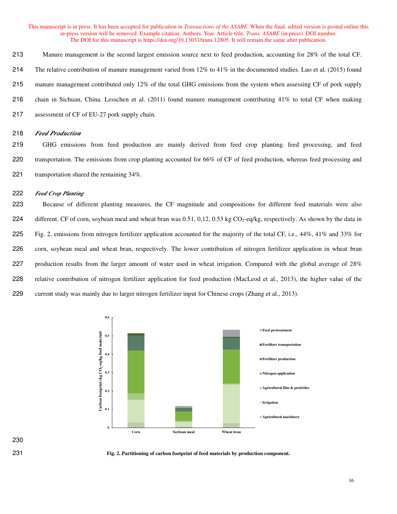Manure management is the second largest emission source next to feed production, accounting for 28% of the total CF. The relative contribution of manure management varied from 12% to 41% in the documented studies. Luo et al. (2015) found manure management contributed only 12% of the total GHG emissions from the system when assessing CF of pork supply chain in Sichuan, China. Lesschen et al. (2011) found manure management contributing 41% to total CF when making assessment of CF of EU-27 pork supply chain.

# 218 *Feed Production*

219 GHG emissions from feed production are mainly derived from feed crop planting, feed processing, and feed 220 transportation. The emissions from crop planting accounted for 66% of CF of feed production, whereas feed processing and 221 transportation shared the remaining 34%.

### 222 *Feed Crop Planting*

Because of different planting measures, the CF magnitude and compositions for different feed materials were also 224 different. CF of corn, soybean meal and wheat bran was  $0.51, 0.12, 0.53$  kg  $CO<sub>2</sub>$ -eq/kg, respectively. As shown by the data in Fig. 2, emissions from nitrogen fertilizer application accounted for the majority of the total CF, i.e., 44%, 41% and 33% for corn, soybean meal and wheat bran, respectively. The lower contribution of nitrogen fertilizer application in wheat bran production results from the larger amount of water used in wheat irrigation. Compared with the global average of 28% relative contribution of nitrogen fertilizer application for feed production (MacLeod et al., 2013), the higher value of the current study was mainly due to larger nitrogen fertilizer input for Chinese crops (Zhang et al., 2013).





231 **Fig. 2. Partitioning of carbon footprint of feed materials by production component.**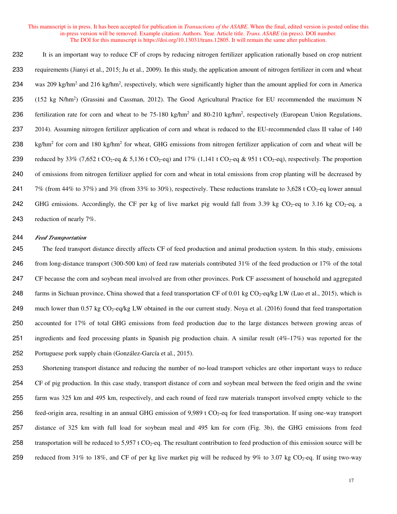232 It is an important way to reduce CF of crops by reducing nitrogen fertilizer application rationally based on crop nutrient 233 requirements (Jianyi et al., 2015; Ju et al., 2009). In this study, the application amount of nitrogen fertilizer in corn and wheat 234 was 209 kg/hm<sup>2</sup> and 216 kg/hm<sup>2</sup>, respectively, which were significantly higher than the amount applied for corn in America 235 (152 kg N/hm<sup>2</sup>) (Grassini and Cassman, 2012). The Good Agricultural Practice for EU recommended the maximum N 236 fertilization rate for corn and wheat to be  $75-180$  kg/hm<sup>2</sup> and  $80-210$  kg/hm<sup>2</sup>, respectively (European Union Regulations, 237 2014). Assuming nitrogen fertilizer application of corn and wheat is reduced to the EU-recommended class II value of 140 238 kg/hm<sup>2</sup> for corn and 180 kg/hm<sup>2</sup> for wheat, GHG emissions from nitrogen fertilizer application of corn and wheat will be 239 reduced by 33% (7,652 t CO<sub>2</sub>-eq & 5,136 t CO<sub>2</sub>-eq) and 17% (1,141 t CO<sub>2</sub>-eq & 951 t CO<sub>2</sub>-eq), respectively. The proportion 240 of emissions from nitrogen fertilizer applied for corn and wheat in total emissions from crop planting will be decreased by 241 7% (from 44% to 37%) and 3% (from 33% to 30%), respectively. These reductions translate to 3,628 t CO<sub>2</sub>-eq lower annual 242 GHG emissions. Accordingly, the CF per kg of live market pig would fall from 3.39 kg CO<sub>2</sub>-eq to 3.16 kg CO<sub>2</sub>-eq, a 243 reduction of nearly 7%.

### 244 *Feed Transportation*

The feed transport distance directly affects CF of feed production and animal production system. In this study, emissions from long-distance transport (300-500 km) of feed raw materials contributed 31% of the feed production or 17% of the total CF because the corn and soybean meal involved are from other provinces. Pork CF assessment of household and aggregated 248 farms in Sichuan province, China showed that a feed transportation CF of 0.01 kg  $CO_2$ -eq/kg LW (Luo et al., 2015), which is 249 much lower than  $0.57$  kg CO<sub>2</sub>-eq/kg LW obtained in the our current study. Noya et al. (2016) found that feed transportation accounted for 17% of total GHG emissions from feed production due to the large distances between growing areas of ingredients and feed processing plants in Spanish pig production chain. A similar result (4%-17%) was reported for the Portuguese pork supply chain (González-García et al., 2015).

253 Shortening transport distance and reducing the number of no-load transport vehicles are other important ways to reduce 254 CF of pig production. In this case study, transport distance of corn and soybean meal between the feed origin and the swine 255 farm was 325 km and 495 km, respectively, and each round of feed raw materials transport involved empty vehicle to the 256 feed-origin area, resulting in an annual GHG emission of 9,989 t  $CO<sub>2</sub>$ -eq for feed transportation. If using one-way transport 257 distance of 325 km with full load for soybean meal and 495 km for corn (Fig. 3b), the GHG emissions from feed 258 transportation will be reduced to 5,957 t  $CO_2$ -eq. The resultant contribution to feed production of this emission source will be 259 reduced from 31% to 18%, and CF of per kg live market pig will be reduced by 9% to 3.07 kg CO<sub>2</sub>-eq. If using two-way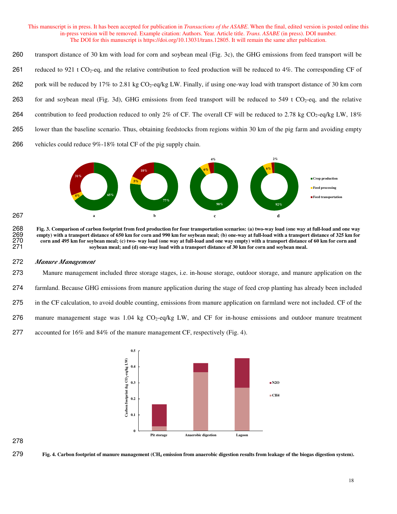260 transport distance of 30 km with load for corn and soybean meal (Fig. 3c), the GHG emissions from feed transport will be 261 reduced to 921 t CO<sub>2</sub>-eq, and the relative contribution to feed production will be reduced to 4%. The corresponding CF of 262 pork will be reduced by 17% to 2.81 kg  $CO_2$ -eq/kg LW. Finally, if using one-way load with transport distance of 30 km corn 263 for and soybean meal (Fig. 3d), GHG emissions from feed transport will be reduced to 549 t  $CO<sub>2</sub>$ -eq, and the relative 264 contribution to feed production reduced to only 2% of CF. The overall CF will be reduced to 2.78 kg CO<sub>2</sub>-eq/kg LW, 18% 265 lower than the baseline scenario. Thus, obtaining feedstocks from regions within 30 km of the pig farm and avoiding empty 266 vehicles could reduce 9%-18% total CF of the pig supply chain.



Fig. 3. Comparison of carbon footprint from feed production for four transportation scenarios: (a) two-way load (one way at full-load and one way empty) with a transport distance of 650 km for corn and 990 km for soybean m 269 **empty) with a transport distance of 650 km for corn and 990 km for soybean meal**; **(b) one-way at full-load with a transport distance of 325 km for**  270 **corn and 495 km for soybean meal**; **(c) two- way load (one way at full-load and one way empty) with a transport distance of 60 km for corn and**  soybean meal; and (d) one-way load with a transport distance of 30 km for corn and soybean meal.

### 272 *Manure Management*

267

Manure management included three storage stages, i.e. in-house storage, outdoor storage, and manure application on the farmland. Because GHG emissions from manure application during the stage of feed crop planting has already been included in the CF calculation, to avoid double counting, emissions from manure application on farmland were not included. CF of the 276 manure management stage was  $1.04 \text{ kg CO}_2$ -eq/kg LW, and CF for in-house emissions and outdoor manure treatment accounted for 16% and 84% of the manure management CF, respectively (Fig. 4).



278

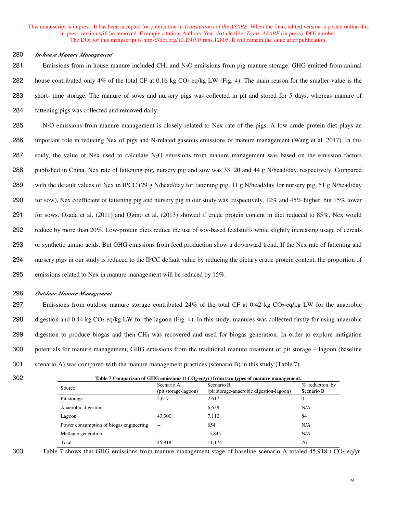### 280 *In-house Manure Management*

281 Emissions from in-house manure included CH<sub>4</sub> and  $N_2O$  emissions from pig manure storage. GHG emitted from animal 282 house contributed only 4% of the total CF at 0.16 kg  $CO<sub>2</sub>$ -eq/kg LW (Fig. 4). The main reason for the smaller value is the 283 short- time storage. The manure of sows and nursery pigs was collected in pit and stored for 5 days, whereas manure of 284 fattening pigs was collected and removed daily.

N2O emissions from manure management is closely related to Nex rate of the pigs. A low crude protein diet plays an important role in reducing Nex of pigs and N-related gaseous emissions of manure management (Wang et al. 2017). In this 287 study, the value of Nex used to calculate  $N_2O$  emissions from manure management was based on the emission factors published in China. Nex rate of fattening pig, nursery pig and sow was 33, 20 and 44 g N/head/day, respectively. Compared with the default values of Nex in IPCC (29 g N/head/day for fattening pig, 11 g N/head/day for nursery pig, 51 g N/head/day for sow), Nex coefficient of fattening pig and nursery pig in our study was, respectively, 12% and 45% higher, but 15% lower for sows. Osada et al. (2011) and Ogino et al. (2013) showed if crude protein content in diet reduced to 85%, Nex would reduce by more than 20%. Low-protein diets reduce the use of soy-based feedstuffs while slightly increasing usage of cereals or synthetic amino acids. But GHG emissions from feed production show a downward trend. If the Nex rate of fattening and nursery pigs in our study is reduced to the IPCC default value by reducing the dietary crude protein content, the proportion of emissions related to Nex in manure management will be reduced by 15%.

# 296 *Outdoor Manure Management*

297 Emissions from outdoor manure storage contributed 24% of the total CF at 0.42 kg  $CO<sub>2</sub>$ -eq/kg LW for the anaerobic 298 digestion and 0.44 kg  $CO_2$ -eq/kg LW for the lagoon (Fig. 4). In this study, manures was collected firstly for using anaerobic 299 digestion to produce biogas and then CH4 was recovered and used for biogas generation. In order to explore mitigation 300 potentials for manure management, GHG emissions from the traditional manure treatment of pit storage – lagoon (baseline 301 scenario A) was compared with the manure management practices (scenario B) in this study (Table 7).

302 **Table 7 Comparison of GHG emissions (t CO2-eq/yr) from two types of manure management.** 

| Source                                  | Scenario A           | Scenario B                               | $%$ reduction by |
|-----------------------------------------|----------------------|------------------------------------------|------------------|
|                                         | (pit storage-lagoon) | (pit storage-anaerobic digestion-lagoon) | Scenario B       |
| Pit storage                             | 2,617                | 2,617                                    | 0                |
| Anaerobic digestion                     | --                   | 6,638                                    | N/A              |
| Lagoon                                  | 43,300               | 7.110                                    | 84               |
| Power consumption of biogas engineering | $-$                  | 654                                      | N/A              |
| Methane generation                      | --                   | $-5,845$                                 | N/A              |
| Total                                   | 45,918               | 11.174                                   | 76               |

303 Table 7 shows that GHG emissions from manure management stage of baseline scenario A totaled 45,918 t CO<sub>2</sub>-eq/yr.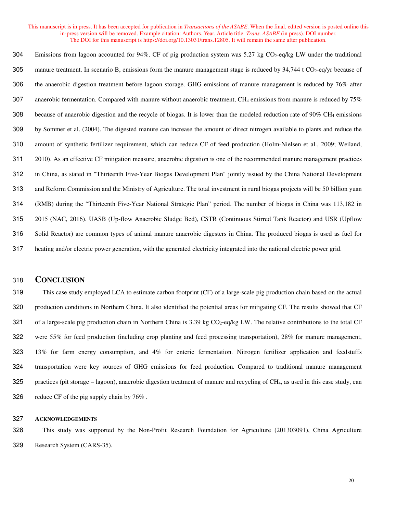304 Emissions from lagoon accounted for 94%. CF of pig production system was  $5.27$  kg CO<sub>2</sub>-eq/kg LW under the traditional 305 manure treatment. In scenario B, emissions form the manure management stage is reduced by  $34,744$  t CO<sub>2</sub>-eq/yr because of the anaerobic digestion treatment before lagoon storage. GHG emissions of manure management is reduced by 76% after 307 anaerobic fermentation. Compared with manure without anaerobic treatment, CH<sub>4</sub> emissions from manure is reduced by  $75\%$ because of anaerobic digestion and the recycle of biogas. It is lower than the modeled reduction rate of 90% CH4 emissions by Sommer et al. (2004). The digested manure can increase the amount of direct nitrogen available to plants and reduce the amount of synthetic fertilizer requirement, which can reduce CF of feed production (Holm-Nielsen et al., 2009; Weiland, 2010). As an effective CF mitigation measure, anaerobic digestion is one of the recommended manure management practices in China, as stated in "Thirteenth Five-Year Biogas Development Plan" jointly issued by the China National Development and Reform Commission and the Ministry of Agriculture. The total investment in rural biogas projects will be 50 billion yuan (RMB) during the "Thirteenth Five-Year National Strategic Plan" period. The number of biogas in China was 113,182 in 2015 (NAC, 2016). UASB (Up-flow Anaerobic Sludge Bed), CSTR (Continuous Stirred Tank Reactor) and USR (Upflow Solid Reactor) are common types of animal manure anaerobic digesters in China. The produced biogas is used as fuel for heating and/or electric power generation, with the generated electricity integrated into the national electric power grid.

# **CONCLUSION**

This case study employed LCA to estimate carbon footprint (CF) of a large-scale pig production chain based on the actual production conditions in Northern China. It also identified the potential areas for mitigating CF. The results showed that CF 321 of a large-scale pig production chain in Northern China is  $3.39 \text{ kg CO}_2$ -eq/kg LW. The relative contributions to the total CF were 55% for feed production (including crop planting and feed processing transportation), 28% for manure management, 13% for farm energy consumption, and 4% for enteric fermentation. Nitrogen fertilizer application and feedstuffs transportation were key sources of GHG emissions for feed production. Compared to traditional manure management 325 practices (pit storage – lagoon), anaerobic digestion treatment of manure and recycling of  $CH_4$ , as used in this case study, can reduce CF of the pig supply chain by 76% .

### **ACKNOWLEDGEMENTS**

This study was supported by the Non-Profit Research Foundation for Agriculture (201303091), China Agriculture Research System (CARS-35).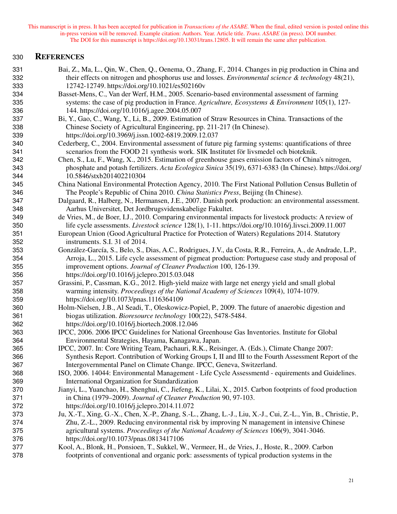# **REFERENCES**

 Bai, Z., Ma, L., Qin, W., Chen, Q., Oenema, O., Zhang, F., 2014. Changes in pig production in China and their effects on nitrogen and phosphorus use and losses. *Environmental science & technology* 48(21), 12742-12749. https://doi.org/10.1021/es502160v Basset-Mens, C., Van der Werf, H.M., 2005. Scenario-based environmental assessment of farming systems: the case of pig production in France. *Agriculture, Ecosystems & Environment* 105(1), 127- 144. https://doi.org/10.1016/j.agee.2004.05.007 Bi, Y., Gao, C., Wang, Y., Li, B., 2009. Estimation of Straw Resources in China. Transactions of the Chinese Society of Agricultural Engineering, pp. 211-217 (In Chinese). https://doi.org/10.3969/j.issn.1002-6819.2009.12.037 Cederberg, C., 2004. Environmental assessment of future pig farming systems: quantifications of three scenarios from the FOOD 21 synthesis work. SIK Institutet för livsmedel och bioteknik. Chen, S., Lu, F., Wang, X., 2015. Estimation of greenhouse gases emission factors of China's nitrogen, phosphate and potash fertilizers. *Acta Ecologica Sinica* 35(19), 6371-6383 (In Chinese). https://doi.org/ 10.5846/stxb201402210304 China National Environmental Protection Agency, 2010. The First National Pollution Census Bulletin of The People's Republic of China 2010. *China Statistics Press*, Beijing (In Chinese). Dalgaard, R., Halberg, N., Hermansen, J.E., 2007. Danish pork production: an environmental assessment. Aarhus Universitet, Det Jordbrugsvidenskabelige Fakultet. de Vries, M., de Boer, I.J., 2010. Comparing environmental impacts for livestock products: A review of life cycle assessments. *Livestock science* 128(1), 1-11. https://doi.org/10.1016/j.livsci.2009.11.007 European Union (Good Agricultural Practice for Protection of Waters) Regulations 2014. Statutory instruments. S.I. 31 of 2014. González-García, S., Belo, S., Dias, A.C., Rodrigues, J.V., da Costa, R.R., Ferreira, A., de Andrade, L.P., Arroja, L., 2015. Life cycle assessment of pigmeat production: Portuguese case study and proposal of improvement options. *Journal of Cleaner Production* 100, 126-139. https://doi.org/10.1016/j.jclepro.2015.03.048 Grassini, P., Cassman, K.G., 2012. High-yield maize with large net energy yield and small global warming intensity. *Proceedings of the National Academy of Sciences* 109(4), 1074-1079. https://doi.org/10.1073/pnas.1116364109 Holm-Nielsen, J.B., Al Seadi, T., Oleskowicz-Popiel, P., 2009. The future of anaerobic digestion and biogas utilization. *Bioresource technology* 100(22), 5478-5484. https://doi.org/10.1016/j.biortech.2008.12.046 IPCC, 2006. 2006 IPCC Guidelines for National Greenhouse Gas Inventories. Institute for Global Environmental Strategies, Hayama, Kanagawa, Japan. IPCC, 2007. In: Core Writing Team, Pachauri, R.K., Reisinger, A. (Eds.), Climate Change 2007: Synthesis Report. Contribution of Working Groups I, II and III to the Fourth Assessment Report of the Intergovernmental Panel on Climate Change. IPCC, Geneva, Switzerland. ISO, 2006. 14044: Environmental Management - Life Cycle Assessmentd - equirements and Guidelines. International Organization for Standardization Jianyi, L., Yuanchao, H., Shenghui, C., Jiefeng, K., Lilai, X., 2015. Carbon footprints of food production in China (1979–2009). *Journal of Cleaner Production* 90, 97-103. https://doi.org/10.1016/j.jclepro.2014.11.072 Ju, X.-T., Xing, G.-X., Chen, X.-P., Zhang, S.-L., Zhang, L.-J., Liu, X.-J., Cui, Z.-L., Yin, B., Christie, P., Zhu, Z.-L., 2009. Reducing environmental risk by improving N management in intensive Chinese agricultural systems. *Proceedings of the National Academy of Sciences* 106(9), 3041-3046. https://doi.org/10.1073/pnas.0813417106 Kool, A., Blonk, H., Ponsioen, T., Sukkel, W., Vermeer, H., de Vries, J., Hoste, R., 2009. Carbon footprints of conventional and organic pork: assessments of typical production systems in the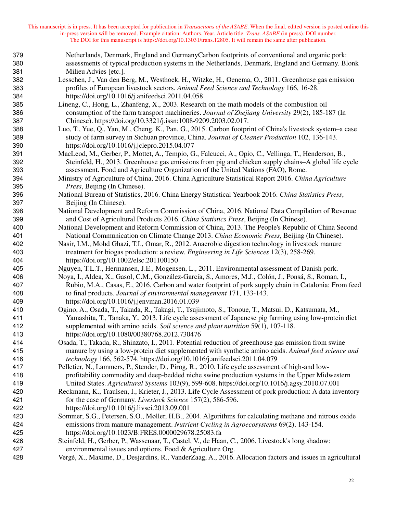Netherlands, Denmark, England and GermanyCarbon footprints of conventional and organic pork: assessments of typical production systems in the Netherlands, Denmark, England and Germany. Blonk Milieu Advies [etc.]. Lesschen, J., Van den Berg, M., Westhoek, H., Witzke, H., Oenema, O., 2011. Greenhouse gas emission profiles of European livestock sectors. *Animal Feed Science and Technology* 166, 16-28. https://doi.org/10.1016/j.anifeedsci.2011.04.058 Lineng, C., Hong, L., Zhanfeng, X., 2003. Research on the math models of the combustion oil consumption of the farm transport machineries. *Journal of Zhejiang University* 29(2), 185-187 (In Chinese). https://doi.org/10.3321/j.issn:1008-9209.2003.02.017. Luo, T., Yue, Q., Yan, M., Cheng, K., Pan, G., 2015. Carbon footprint of China's livestock system–a case study of farm survey in Sichuan province, China. *Journal of Cleaner Production* 102, 136-143. https://doi.org/10.1016/j.jclepro.2015.04.077 MacLeod, M., Gerber, P., Mottet, A., Tempio, G., Falcucci, A., Opio, C., Vellinga, T., Henderson, B., Steinfeld, H., 2013. Greenhouse gas emissions from pig and chicken supply chains–A global life cycle assessment. Food and Agriculture Organization of the United Nations (FAO), Rome. Ministry of Agriculture of China, 2016. China Agriculture Statistical Report 2016. *China Agriculture Press*, Beijing (In Chinese). National Bureau of Statistics, 2016. China Energy Statistical Yearbook 2016. *China Statistics Press*, Beijing (In Chinese). National Development and Reform Commission of China, 2016. National Data Compilation of Revenue and Cost of Agricultural Products 2016. *China Statistics Press*, Beijing (In Chinese). National Development and Reform Commission of China, 2013. The People's Republic of China Second National Communication on Climate Change 2013. *China Economic Press*, Beijing (In Chinese). Nasir, I.M., Mohd Ghazi, T.I., Omar, R., 2012. Anaerobic digestion technology in livestock manure treatment for biogas production: a review. *Engineering in Life Sciences* 12(3), 258-269. https://doi.org/10.1002/elsc.201100150 Nguyen, T.L.T., Hermansen, J.E., Mogensen, L., 2011. Environmental assessment of Danish pork. Noya, I., Aldea, X., Gasol, C.M., González-García, S., Amores, M.J., Colón, J., Ponsá, S., Roman, I., Rubio, M.A., Casas, E., 2016. Carbon and water footprint of pork supply chain in Catalonia: From feed to final products. *Journal of environmental management* 171, 133-143. https://doi.org/10.1016/j.jenvman.2016.01.039 Ogino, A., Osada, T., Takada, R., Takagi, T., Tsujimoto, S., Tonoue, T., Matsui, D., Katsumata, M., Yamashita, T., Tanaka, Y., 2013. Life cycle assessment of Japanese pig farming using low-protein diet supplemented with amino acids. *Soil science and plant nutrition* 59(1), 107-118. https://doi.org/10.1080/00380768.2012.730476 Osada, T., Takada, R., Shinzato, I., 2011. Potential reduction of greenhouse gas emission from swine manure by using a low-protein diet supplemented with synthetic amino acids. *Animal feed science and technology* 166, 562-574. https://doi.org/10.1016/j.anifeedsci.2011.04.079 Pelletier, N., Lammers, P., Stender, D., Pirog, R., 2010. Life cycle assessment of high-and low-profitability commodity and deep-bedded niche swine production systems in the Upper Midwestern United States. *Agricultural Systems* 103(9), 599-608. https://doi.org/10.1016/j.agsy.2010.07.001 Reckmann, K., Traulsen, I., Krieter, J., 2013. Life Cycle Assessment of pork production: A data inventory for the case of Germany. *Livestock Science* 157(2), 586-596. https://doi.org/10.1016/j.livsci.2013.09.001 Sommer, S.G., Petersen, S.O., Møller, H.B., 2004. Algorithms for calculating methane and nitrous oxide emissions from manure management. *Nutrient Cycling in Agroecosystems* 69(2), 143-154. https://doi.org/10.1023/B:FRES.0000029678.25083.fa Steinfeld, H., Gerber, P., Wassenaar, T., Castel, V., de Haan, C., 2006. Livestock's long shadow: environmental issues and options. Food & Agriculture Org. Vergé, X., Maxime, D., Desjardins, R., VanderZaag, A., 2016. Allocation factors and issues in agricultural